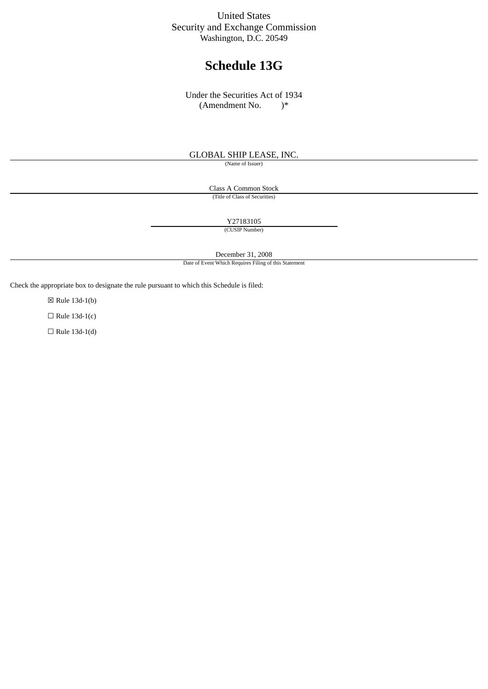## United States Security and Exchange Commission Washington, D.C. 20549

# **Schedule 13G**

Under the Securities Act of 1934 (Amendment No. )\*

#### GLOBAL SHIP LEASE, INC.

(Name of Issuer)

Class A Common Stock (Title of Class of Securities)

Y27183105

(CUSIP Number)

December 31, 2008

Date of Event Which Requires Filing of this Statement

Check the appropriate box to designate the rule pursuant to which this Schedule is filed:

☒ Rule 13d-1(b)

 $\Box$  Rule 13d-1(c)

 $\Box$  Rule 13d-1(d)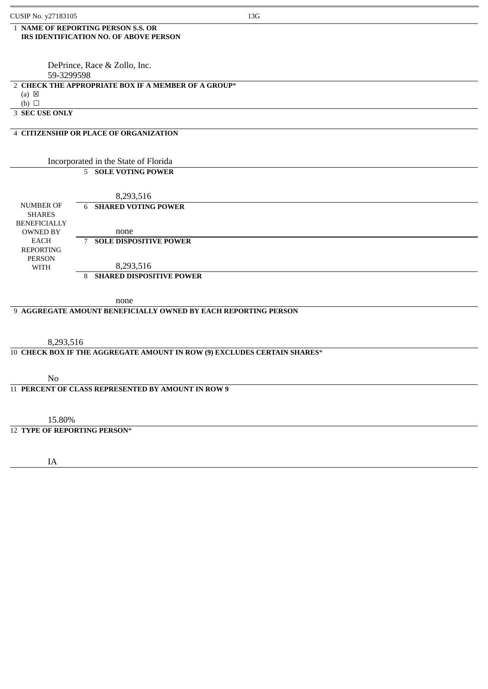#### 1 **NAME OF REPORTING PERSON S.S. OR IRS IDENTIFICATION NO. OF ABOVE PERSON**

 DePrince, Race & Zollo, Inc. 59-3299598

#### 2 **CHECK THE APPROPRIATE BOX IF A MEMBER OF A GROUP**\*

(a)  $\boxtimes$ 

 $(b)$   $\Box$ 

3 **SEC USE ONLY**

#### 4 **CITIZENSHIP OR PLACE OF ORGANIZATION**

#### Incorporated in the State of Florida 5 **SOLE VOTING POWER**

|                                      | 8,293,516                     |  |
|--------------------------------------|-------------------------------|--|
| NUMBER OF                            | 6 SHARED VOTING POWER         |  |
| <b>SHARES</b><br><b>BENEFICIALLY</b> |                               |  |
| <b>OWNED BY</b>                      | none                          |  |
| EACH                                 | <b>SOLE DISPOSITIVE POWER</b> |  |
| <b>REPORTING</b>                     |                               |  |
| <b>PERSON</b><br>WITH                | 8,293,516                     |  |
|                                      | 8 SHARED DISPOSITIVE POWER    |  |

none

#### 9 **AGGREGATE AMOUNT BENEFICIALLY OWNED BY EACH REPORTING PERSON**

8,293,516

#### 10 **CHECK BOX IF THE AGGREGATE AMOUNT IN ROW (9) EXCLUDES CERTAIN SHARES**\*

No

11 **PERCENT OF CLASS REPRESENTED BY AMOUNT IN ROW 9**

15.80%

### 12 **TYPE OF REPORTING PERSON**\*

IA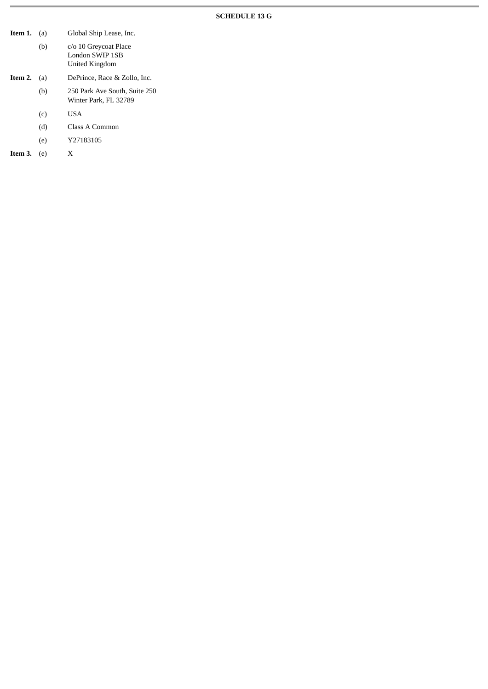## **SCHEDULE 13 G**

| Item 1. | (a) | Global Ship Lease, Inc.                                    |
|---------|-----|------------------------------------------------------------|
|         | (b) | c/o 10 Greycoat Place<br>London SWIP 1SB<br>United Kingdom |
| Item 2. | (a) | DePrince, Race & Zollo, Inc.                               |
|         | (b) | 250 Park Ave South, Suite 250<br>Winter Park, FL 32789     |
|         | (c) | <b>USA</b>                                                 |
|         | (d) | Class A Common                                             |
|         | (e) | Y27183105                                                  |
| Item 3. | (e) | X                                                          |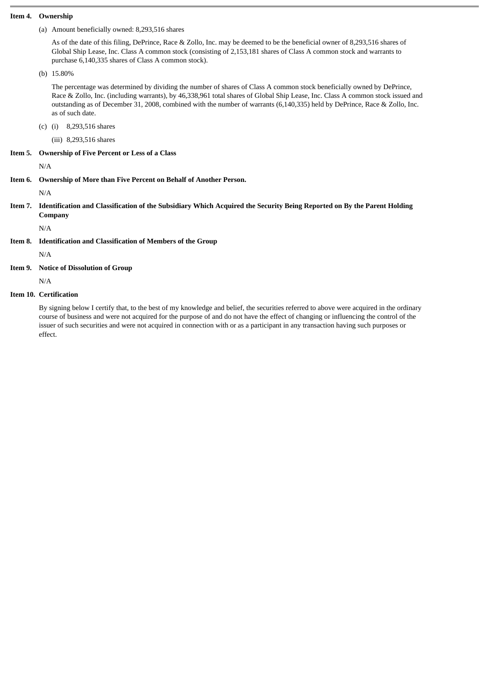#### **Item 4. Ownership**

(a) Amount beneficially owned: 8,293,516 shares

As of the date of this filing, DePrince, Race & Zollo, Inc. may be deemed to be the beneficial owner of 8,293,516 shares of Global Ship Lease, Inc. Class A common stock (consisting of 2,153,181 shares of Class A common stock and warrants to purchase 6,140,335 shares of Class A common stock).

(b) 15.80%

The percentage was determined by dividing the number of shares of Class A common stock beneficially owned by DePrince, Race & Zollo, Inc. (including warrants), by 46,338,961 total shares of Global Ship Lease, Inc. Class A common stock issued and outstanding as of December 31, 2008, combined with the number of warrants (6,140,335) held by DePrince, Race & Zollo, Inc. as of such date.

(c) (i) 8,293,516 shares

(iii) 8,293,516 shares

**Item 5. Ownership of Five Percent or Less of a Class**

N/A

**Item 6. Ownership of More than Five Percent on Behalf of Another Person.**

N/A

**Item 7. Identification and Classification of the Subsidiary Which Acquired the Security Being Reported on By the Parent Holding Company**

N/A

**Item 8. Identification and Classification of Members of the Group**

N/A

**Item 9. Notice of Dissolution of Group**

N/A

**Item 10. Certification**

By signing below I certify that, to the best of my knowledge and belief, the securities referred to above were acquired in the ordinary course of business and were not acquired for the purpose of and do not have the effect of changing or influencing the control of the issuer of such securities and were not acquired in connection with or as a participant in any transaction having such purposes or effect.